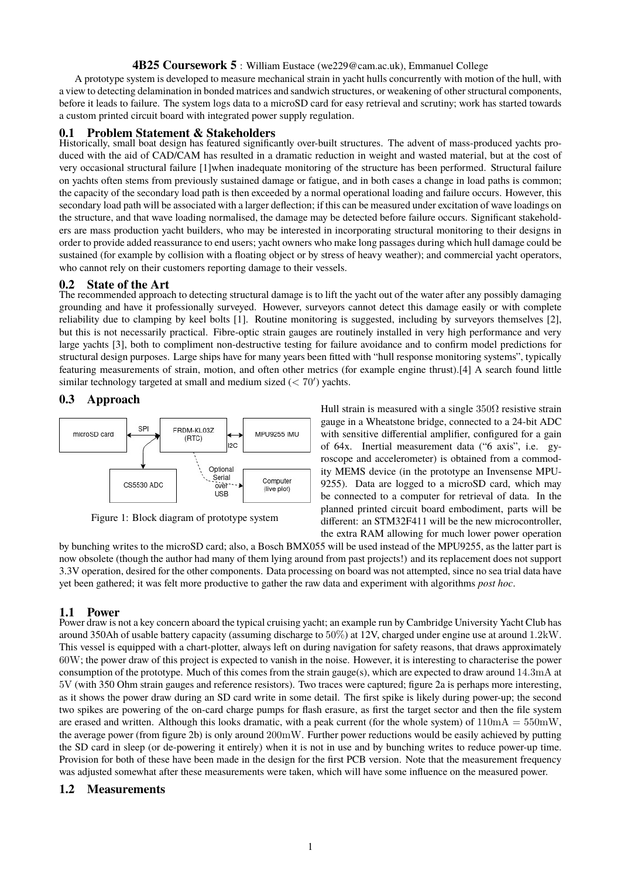### **4B25 Coursework 5** : William Eustace (we229@cam.ac.uk), Emmanuel College

A prototype system is developed to measure mechanical strain in yacht hulls concurrently with motion of the hull, with a view to detecting delamination in bonded matrices and sandwich structures, or weakening of other structural components, before it leads to failure. The system logs data to a microSD card for easy retrieval and scrutiny; work has started towards a custom printed circuit board with integrated power supply regulation.

### **Problem Statement & Stakeholders**

Historically, small boat design has featured significantly over-built structures. The advent of mass-produced yachts produced with the aid of CAD/CAM has resulted in a dramatic reduction in weight and wasted material, but at the cost of very occasional structural failure [1]when inadequate monitoring of the structure has been performed. Structural failure on yachts often stems from previously sustained damage or fatigue, and in both cases a change in load paths is common; the capacity of the secondary load path is then exceeded by a normal operational loading and failure occurs. However, this secondary load path will be associated with a larger deflection; if this can be measured under excitation of wave loadings on the structure, and that wave loading normalised, the damage may be detected before failure occurs. Significant stakeholders are mass production yacht builders, who may be interested in incorporating structural monitoring to their designs in order to provide added reassurance to end users; yacht owners who make long passages during which hull damage could be sustained (for example by collision with a floating object or by stress of heavy weather); and commercial yacht operators, who cannot rely on their customers reporting damage to their vessels.

## **0.2 State of the Art**

The recommended approach to detecting structural damage is to lift the yacht out of the water after any possibly damaging grounding and have it professionally surveyed. However, surveyors cannot detect this damage easily or with complete reliability due to clamping by keel bolts [1]. Routine monitoring is suggested, including by surveyors themselves [2], but this is not necessarily practical. Fibre-optic strain gauges are routinely installed in very high performance and very large yachts [3], both to compliment non-destructive testing for failure avoidance and to confirm model predictions for structural design purposes. Large ships have for many years been fitted with "hull response monitoring systems", typically featuring measurements of strain, motion, and often other metrics (for example engine thrust).[4] A search found little similar technology targeted at small and medium sized  $(< 70')$  yachts.

## **0.3 Approach**



Figure 1: Block diagram of prototype system

Hull strain is measured with a single  $350\Omega$  resistive strain gauge in a Wheatstone bridge, connected to a 24-bit ADC with sensitive differential amplifier, configured for a gain of 64x. Inertial measurement data ("6 axis", i.e. gyroscope and accelerometer) is obtained from a commodity MEMS device (in the prototype an Invensense MPU-9255). Data are logged to a microSD card, which may be connected to a computer for retrieval of data. In the planned printed circuit board embodiment, parts will be different: an STM32F411 will be the new microcontroller, the extra RAM allowing for much lower power operation

by bunching writes to the microSD card; also, a Bosch BMX055 will be used instead of the MPU9255, as the latter part is now obsolete (though the author had many of them lying around from past projects!) and its replacement does not support 3.3V operation, desired for the other components. Data processing on board was not attempted, since no sea trial data have yet been gathered; it was felt more productive to gather the raw data and experiment with algorithms *post hoc*.

## **1.1 Power**

Power draw is not a key concern aboard the typical cruising yacht; an example run by Cambridge University Yacht Club has around 350Ah of usable battery capacity (assuming discharge to 50%) at 12V, charged under engine use at around 1.2kW. This vessel is equipped with a chart-plotter, always left on during navigation for safety reasons, that draws approximately 60W; the power draw of this project is expected to vanish in the noise. However, it is interesting to characterise the power consumption of the prototype. Much of this comes from the strain gauge(s), which are expected to draw around 14.3mA at 5V (with 350 Ohm strain gauges and reference resistors). Two traces were captured; figure 2a is perhaps more interesting, as it shows the power draw during an SD card write in some detail. The first spike is likely during power-up; the second two spikes are powering of the on-card charge pumps for flash erasure, as first the target sector and then the file system are erased and written. Although this looks dramatic, with a peak current (for the whole system) of  $110mA = 550mW$ , the average power (from figure 2b) is only around 200mW. Further power reductions would be easily achieved by putting the SD card in sleep (or de-powering it entirely) when it is not in use and by bunching writes to reduce power-up time. Provision for both of these have been made in the design for the first PCB version. Note that the measurement frequency was adjusted somewhat after these measurements were taken, which will have some influence on the measured power.

## **1.2 Measurements**